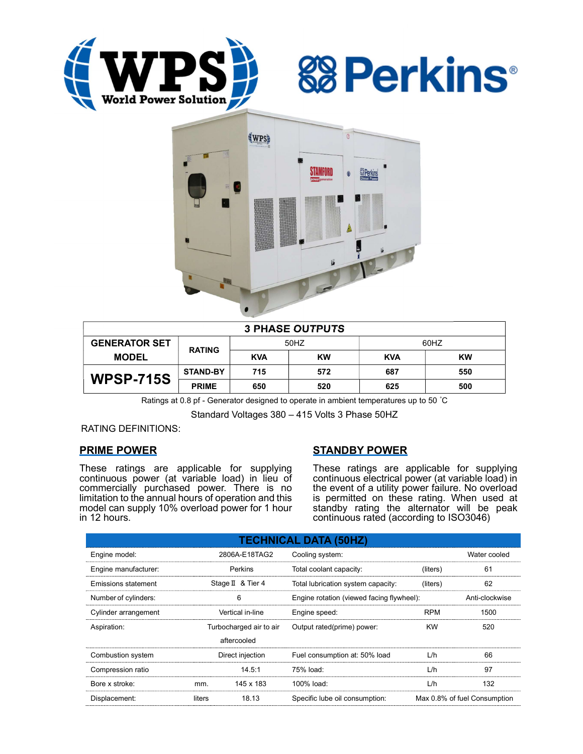





| <b>3 PHASE OUTPUTS</b> |                 |            |           |            |           |  |  |  |
|------------------------|-----------------|------------|-----------|------------|-----------|--|--|--|
| <b>GENERATOR SET</b>   | <b>RATING</b>   | 50HZ       |           | 60HZ       |           |  |  |  |
| <b>MODEL</b>           |                 | <b>KVA</b> | <b>KW</b> | <b>KVA</b> | <b>KW</b> |  |  |  |
| <b>WPSP-715S</b>       | <b>STAND-BY</b> | 715        | 572       | 687        | 550       |  |  |  |
|                        | <b>PRIME</b>    | 650        | 520       | 625        | 500       |  |  |  |

Ratings at 0.8 pf - Generator designed to operate in ambient temperatures up to 50 °C

Standard Voltages 380 – 415 Volts 3 Phase 50HZ

RATING DEFINITIONS:

# PRIME POWER

These ratings are applicable for supplying continuous power (at variable load) in lieu of commercially purchased power. There is no limitation to the annual hours of operation and this model can supply 10% overload power for 1 hour in 12 hours.

# STANDBY POWER

These ratings are applicable for supplying continuous electrical power (at variable load) in the event of a utility power failure. No overload is permitted on these rating. When used at standby rating the alternator will be peak continuous rated (according to ISO3046)

| <b>TECHNICAL DATA (50HZ)</b> |                         |                   |                                           |                              |                |  |  |  |  |
|------------------------------|-------------------------|-------------------|-------------------------------------------|------------------------------|----------------|--|--|--|--|
| Engine model:                | 2806A-E18TAG2           |                   | Cooling system:                           | Water cooled                 |                |  |  |  |  |
| Engine manufacturer:         | Perkins                 |                   | Total coolant capacity:                   | (liters)                     | 61             |  |  |  |  |
| Emissions statement          |                         | Stage II & Tier 4 | Total lubrication system capacity:        | (liters)                     | 62             |  |  |  |  |
| Number of cylinders:         | 6                       |                   | Engine rotation (viewed facing flywheel): |                              | Anti-clockwise |  |  |  |  |
| Cylinder arrangement         | Vertical in-line        |                   | Engine speed:                             | <b>RPM</b>                   | 1500           |  |  |  |  |
| Aspiration:                  | Turbocharged air to air |                   | Output rated(prime) power:                | <b>KW</b>                    | 520            |  |  |  |  |
|                              |                         | aftercooled       |                                           |                              |                |  |  |  |  |
| Combustion system            | Direct injection        |                   | Fuel consumption at: 50% load             | L/h                          | 66             |  |  |  |  |
| Compression ratio            |                         | 14.5:1            | 75% load:                                 | L/h                          | 97             |  |  |  |  |
| Bore x stroke:               | mm.                     | 145 x 183         | 100% load:                                | L/h                          | 132            |  |  |  |  |
| Displacement:                | liters                  | 18.13             | Specific lube oil consumption:            | Max 0.8% of fuel Consumption |                |  |  |  |  |